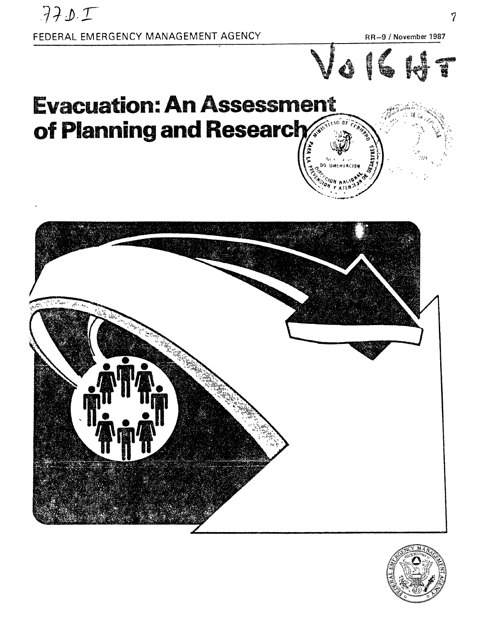

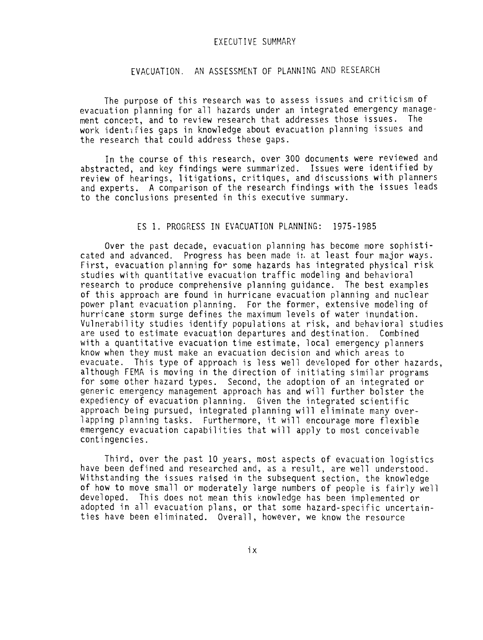#### EXECUTIVE SUMMARY

# EVACUATION. AN ASSESSMENT OF PLANNING AND RESEARCH

The purpose of this research was to assess issues and criticism of evacuation planning for all hazards under an integrated emergency management concert, and to review research that addresses those issues. The work identifies gaps in knowledge about evacuation planning issues and the research that could address these gaps.

In the course of this research, over 300 documents were reviewed and abstracted, and key findings were summarized. Issues were identified by review of hearings, litigations, critiques, and discussions with planners and experts. A comparison of the research findings with the issues leads to the conclusions presented in this executive summary.

## ES 1. PROGRESS IN EVACUATION PLANNING: 1975-1985

Over the past decade, evacuation planning has become more sophisticated and advanced. Progress has been made i:, at least four major ways. First, evacuation planning for some hazards has integrated physical risk studies with quantitative evacuation traffic modeling and behavioral research to produce comprehensive planning guidance. The best examples of this approach are found in hurricane evacuation planning and nuclear power plant evacuation planning. For the former, extensive modeling of hurricane storm surge defines the maximum levels of water inundation. Vulnerability studies identify populations at risk, and behavioral studies are used to estimate evacuation departures and destination. Combined with a quantitative evacuation time estimate, local emergency planners know when they must make an evacuation decision and which areas to evacuate. This type of approach is less well developed for other hazards, although FEMA is moving in the direction of initiating similar programs for some other hazard types. Second, the adoption of an integrated or generic emergency management approach has and will further bolster the expediency of evacuation planning. Given the integrated scientific approach being pursued, integrated planning will eliminate many overlapping planning tasks. Furthermore, it will encourage more flexible emergency evacuation capabilities that will apply to most conceivable contingencies.

Third, over the past 10 years, most aspects of evacuation logistics have been defined and researched and, as a result, are well understood. Withstanding the issues raised in the subsequent section, the knowledge of how to move small or moderately large numbers of people is fairly well developed. This does not mean this knowledge has been implemented or adopted in all evacuation plans, or that some hazard-specific uncertainties have been eliminated. Overall, however, we know the resource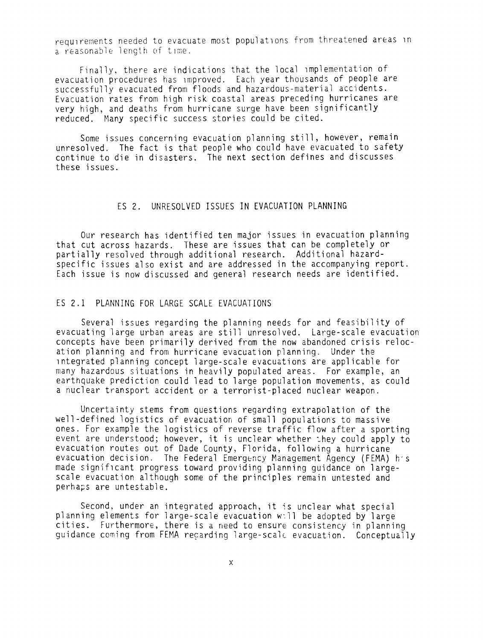requirements needed to evacuate most populations from threatened arcas in a reasonable length of time.

Fínally, there are indications that the local Implementation of evacuation procedures has improved. Each year thousands of people are successfully evacuated from floods and hazardous-material accidents. Evacuation rates from high risk coastal areas preceding hurricanes are very high, and deaths from hurricane surge have been significantly reduced. Many specific success stories could be cited.

Some issues concerning evacuation planning still, however, remain unresolved. The fact is that people who could have evacuated to safety continue to die in disasters. The next section defines and discusses these issues.

## ES 2. UNRESOLVED ISSUES IN EVACUATION PLANNING

Our research has identified ten major issues in evacuation planning that cut across hazards. These are issues that can be completely or partially resolved through additional research. Additional hazardspecific issues also exist and are addressed in the accompanying report. Each issue is now discussed and general research needs are identified.

## ES 2.1 PLANNING FOR LARGE SCALE EVACUATIONS

Several issues regarding the planning needs for and feasibility of evacuating large urban areas are still unresolved. Large-scale evacuation concepts have been prímarily derived from the now abandoned crisis relocation planning and from hurricane evacuation planning. Under the Integrated planning concept large-scale evacuations are applicable for many hazardous situations in heavily populated areas. For example, an earthquake prediction could lead to large population movements, as could a nuclear transport accident or a terrorist-placed nuclear weapon.

Uncertainty stems from questions regarding extrapolation of the well-defined logistics of evacuation of small populations to massive ones. For example the logistics of reverse traffic flow after a sporting event are understood; however, it is unclear whether they could apply to evacuation routes out of Dade County, Florida, following a hurricane evacuation decision. The Federal Emergency Management Agency (FEMA) his made significant progress toward providing planning quidance on largescale evacuation although some of the principies remain untested and perhaps are untestable.

Second, under an integrated approach, it is unclear what special planning elements for large-scale evacuation will be adopted by large cities. Furthermore, there is a need to ensure consistency in planning guidance coming from FEMA recarding large-scale evacuation. Conceptually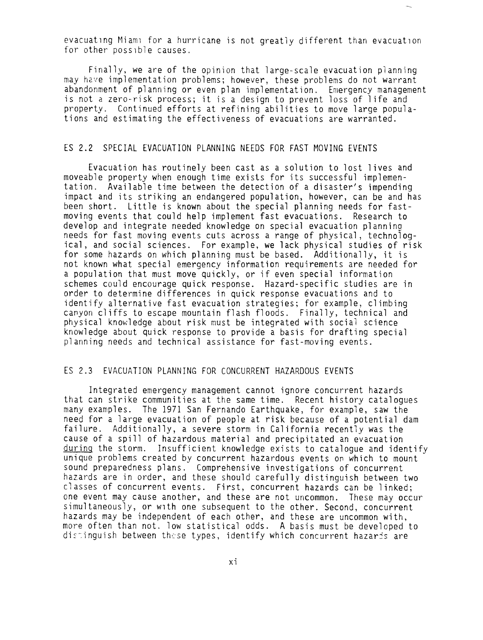evacuating Miami for a hurricane is not greatly different than evacuation for other possible causes.

Finally, we are of the opinion that large-scale evacuation planning may have implementation problems; however, these problems do not warrant abandonment of planning or even plan implementation. Emergency management is not a zero-risk process; it is a design to prevent loss of life and property. Continued efforts at refining abilities to move large populations and estimating the effectiveness of evacuations are warranted.

#### ES 2.2 SPECIAL EVACUATION PLANNING NEEDS FOR FAST MOVING EVENTS

Evacuation has routinely been cast as a solution to lost lives and moveable property when enough time exists for its successful implementation. Available time between the detection of a disaster's impending impact and its striking an endangered population, however, can be and has been short. Little is known about the special planning needs for fastmoving events that could help implement fast evacuations. Research to develop and integrate needed knowledge on special evacuation planning needs for fast moving events cuts across a range of physical, technological, and social sciences. For example, we lack physical studies of risk for some hazards on which planning must be based. Additionally, it is not known what special emergency information requirements are needed for a population that must move quickly, or if even special information schemes could encourage quick response. Hazard-specific studies are in order to determine differences in quick response evacuations and to identify alternative fast evacuation strategies; for example, climbing canyon cliffs to escape mountain flash floods. Finally, technical and physical knowledge about risk must be integrated with social science knowledge about quick response to provide a basis for drafting special planning needs and technical assistance for fast-moving events.

#### ES 2.3 EVACUATION PLANNING FOR CONCURRENT HAZARDOUS EVENTS

Integrated emergency management cannot ignore concurrent hazards that can strike communities at the same time. Recent history catalogues many examples. The 1971 San Fernando Earthquake, for example, saw the need for a large evacuation of people at risk because of a potential dam failure. Additionally, a severe storm in California recently was the cause of a spill of hazardous material and precipitated an evacuation durinq the storm. Insufficient knowledge exists to catalogue and identify unique problems created by concurrent hazardous events on which to mount sound preparedness plans. Comprehensive investigations of concurrent hazards are in order, and these should carefully distinguish between two classes of concurrent events. First, concurrent hazards can be linked; one event may cause another, and these are not uncommon. These may occur simultaneously, or with one subsequent to the other. Second, concurrent hazards may be independent of each other, and these are uncommon with, more often than not. low statistical odds. A basis must be developed to distinguish between these types, identify which concurrent hazards are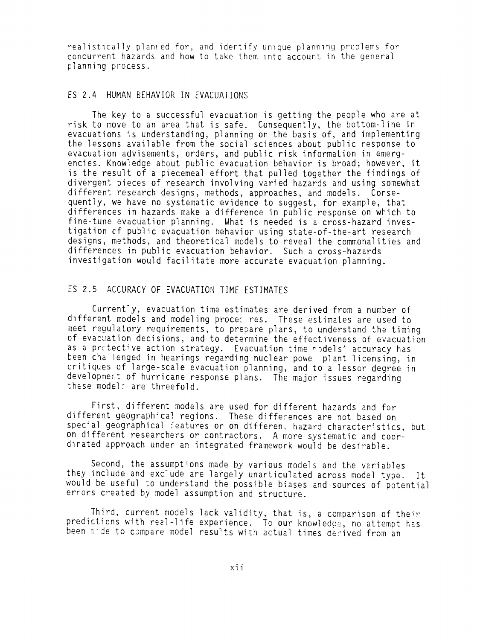realistically planned for, and identify unique planning problems for concurrent hazards and how to take them into account in the general planning process.

## ES 2.4 HUMAN BEHAVIOR IN EVACUATIONS

The key to a successful evacuation is getting the people who are at risk to move to an area that is safe. Consequently, the bottom-line in evacuations is understanding, planning on the basis of, and implementing the lessons available from the social sciences about public response to evacuation advisements, orders, and public risk information in emergencies. Knowledge about public evacuation behavior is broad; however, it is the result of a piecemeal effort that pulled together the findings of divergent pieces of research involving varied hazards and using somewhat different research designs, methods, approaches, and models. Consequently, we have no systematic evidence to suggest, for example, that differences in hazards make a difference in public response on which to fine-tune evacuation planning. What is needed is a cross-hazard investigation cf public evacuation behavior using state-of-the-art research designs, methods, and theoretical models to reveal the commonalities and differences in public evacuation behavior. Such a cross-hazards investigation would facilitate more accurate evacuation planning.

## ES 2.5 ACCURACY OF EVACUATION TIME ESTIMATES

Currently, evacuation time estimates are derived from a number of different models and modeling procec res. These estimates are used to meet regulatory requirements, to prepare plans, to understand the timing of evacuation decisions, and to determine the effectiveness of evacuation as a protective action strategy. Evacuation time rodels' accuracy has been challenged in hearings regarding nuclear powe plant licensing, in critiques of large-scale evacuation planning, and to a lessor degree in developmert of hurricane response plans. The major issues regarding these model: are threefold.

First, different models are used for different hazards and for different geographical regions. These differences are not based on special geographical : eatures or on differen, hazard characteristics, but on different researchers or contractors. A more systematic and coordinated approach under an integrated framework would be desirable.

Second, the assumptions made by various models and the variables they include and exclude are largely unarticulated across model type. It would be useful to understand the possible biases and sources of potential errors created by model assumption and structure.

Third, current models lack validity, that is, a comparison of their predictions with real-life experience. To our knowledge, no attempt has been nide to compare model results with actual times derived from an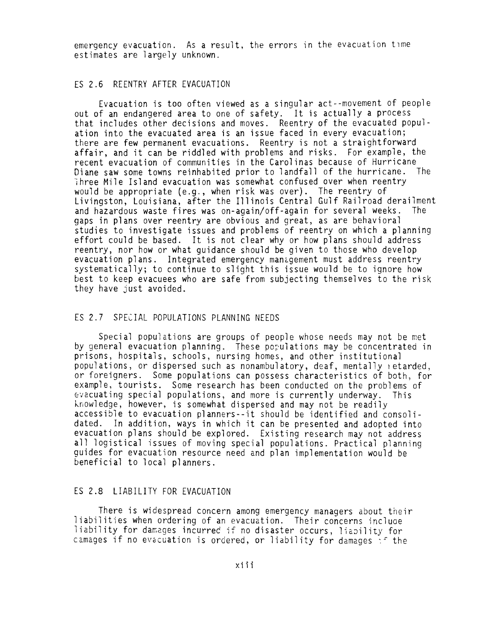emergency evacuation. As a result, the errors in the evacuation time estimates are largely unknown.

## ES 2.6 REENTRY AFTER EVACUATION

Evacuation is too often viewed as a singular act--movement of people out of an endangered area to one of safety. It is actually a process that includes other decisions and moves. Reentry of the evacuated population into the evacuated area is an issue faced in every evacuation; there are few permanent evacuations. Reentry is not a straightforward affair, and it can be riddled with problems and risks. For example, the recent evacuation of communities in the Carolinas because of Hurricane Diane saw some towns reinhabited prior to landfall of the hurricane. The ihree Mile Island evacuation was somewhat confused over when reentry would be appropriate (e.g., when risk was over). The reentry of Livingston, Louisiana, after the Illinois Central Gulf Railroad derailment and hazardous waste fires was on-again/off-again for several weeks. The gaps in plans over reentry are obvious and great, as are behavioral studies to investigate issues and problems of reentry on which a planning effort could be based. It is not clear why or how plans should address reentry, nor how or what guidance should be given to those who develop evacuation plans. Integrated emergency management must address reentry systematically; to continue to slight this issue would be to ignore how best to keep evacuees who are rafe from subjecting themselves to the risk they have just avoided.

#### ES 2.7 SPECIAL POPULATIONS PLANNING NEEDS

Special populations are groups of people whose needs may not be met by general evacuation planning. These populations may be concentrated in prisons, hospitals, schools, nursing homes, and other institutional populations, or dispersed such as nonambulatory, deaf, mentally retarded, or foreigners. Some populations can possess characteristics of both, for example, tourists. Some research has been conducted on the problems of evacuating special populations, and more is currently underway. This knowledge, however, is somewhat dispersed and may not be readily accessible to evacuation planners--it should be identified and consolidated. In addition, ways in which it can be presented and adopted into evacuation plans should be explored. Existing research may not address all logistical issues of moving special populations. Practical planning guides for evacuation resource need and plan implementation would be beneficial to local planners.

## ES 2.8 LIABILITY FOR EVACUATION

There is widespread concern among emergency managers about their liabilities when ordering of an evacuation. Their concerns incluce liability for damages incurred if no disaster occurs, liability for camages if no evacuation is ordered, or liability for damages  $\gamma^c$  the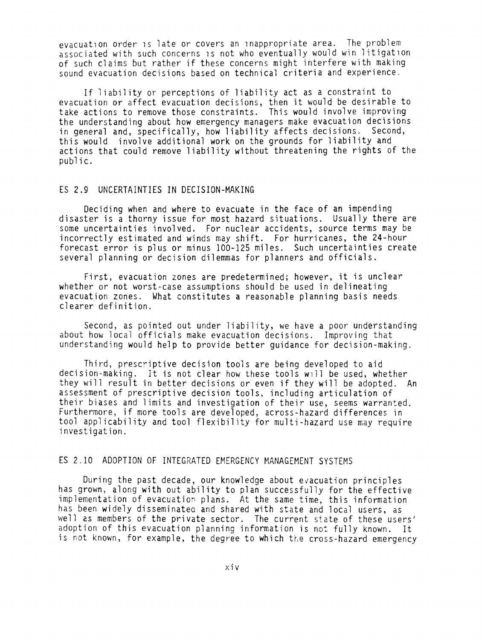evacuation order is late or covers an inappropriate area. The problem associated with such concerns is not who eventually would win litigation of such claims but rather if these concerns míght interfere with making sound evacuation decisions based on technical criteria and experience.

If liability or perceptions of liability act as a constraint to evacuation or affect evacuation decisions, then it would be desirable to take actions to remove those constraints. This would involve improving the understanding about how emergency managers make evacuation decisions in general and, specifically, how liability affects decisions. Second, this would involve additional work on the grounds for liability and actions that could remove liability without threatening the rights of the public.

## ES 2.9 UNCERTAINTIES IN DECISION-MAKING

Deciding when and where to evacuate in the face of an impending disaster is a thorny issue for most hazard situations. Usually there are some uncertainties involved. For nuclear accidents, source terms may be incorrectly estimated and winds may shift. For hurricanes, the 24-hour forecast error is plus or minus 100-125 miles. Such uncertainties create several planning or decision dilemmas for planners and officials.

First, evacuation zones are predetermined; however, it is unclear whether or not worst-case assumptions should be used in delineating evacuation zones. What constitutes a reasonable planning basis needs clearer definition.

Second, as pointed out under liability, we have a poor understanding about how local officials make evacuation decisions. Improving that understanding would help to provide better guidance for decision-making.

Third, prescriptive decision tools are being developed to aid decision-making. It is not clear how these tools will be used, whether they will result in better decisions or even if they will be adopted. An assessment of prescriptive decision tools, including articulation of their biases and limits and investigation of their use, seems warranted. Furthermore, if more tools are developed, across-hazard differences in tool applicability and tool fiexibility for multi-hazard use may require investigation.

# ES 2.10 ADOPTION OF INTEGRATED EMERGENCY MANAGEMENT SYSTEMS

During the past decade, our knowledge about evacuation principies has grown, along with out ability to plan successfuily for the effectíve implementation of evacuatior plans. At the same time, this information has been widely disseminatea and shared with state and local users, as well as members of the private sector. The current state of these users' adoption of this evacuation planning information is not fully known. It is not known, for example, the degree to which the cross-hazard emergency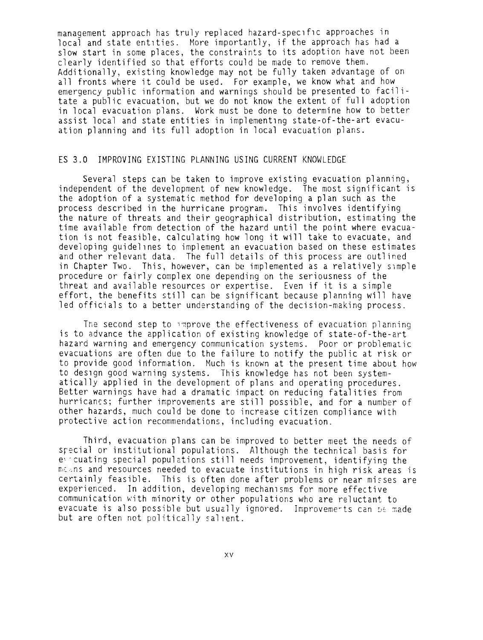management approach has truly replaced hazard-specific approaches in local and state entities. More importantly, if the approach has had a slow start in some places, the constraints to its adoption have not been clearly identified so that efforts could be made to remove them. Additionally, existing knowledge may not be fully taken advantage of on all fronts where it could be used. For example, we know what and how emergency public information and warnings should be presented to facilitate a public evacuation, but we do not know the extent of full adoption in local evacuation plans. Work must be done to determine how to better assist local and state entities in implementing state-of-the-art evacuation planning and its full adoption in local evacuation plans.

# ES 3.0 IMPROVING EXISTING PLANNING USING CURRENT KNOWLEDGE

Several steps can be taken to improve existing evacuation planning, independent of the development of new knowledge. The most significant is the adoption of a systematic method for developing a plan such as the process described in the hurricane program. This involves identifying the nature of threats and their geographical distribution, estimating the time available from detection of the hazard until the point where evacuation is not feasible, calculating how long it will take to evacuate, and developing guidelines to implement an evacuation based on these estimates and other relevant data. The full details of this process are outlined in Chapter Two. This, however, can be implemented as a relatively simple procedure or fairly complex one depending on the seriousness of the threat and available resources or expertise. Even if it is a simple effort, the benefits still can be significant because planning will have led officials to a better understanding of the decision-making process.

The second step to ,mprove the effectiveness of evacuation planning is to advance the application of existing knowledge of state-of-the-art hazard warning and emergency communication systems. Poor or problematic evacuations are often due to the failure to notify the public at risk or to provide good information. Much is known at the present time about how to design good warning systems. This knowledge has not been systematically applied in the development of plans and operating procedures. Better warnings have had a dramatic impact on reducing fatalities from hurricancs; further improvements are still possible, and for a number of other hazards, much could be done to increase citizen compliance with protective action recommendations, including evacuation.

Third, evacuation plans can be improved to better meet the needs of special or institutional populations. Although the technical basis for evecuating special populations still needs improvement, identifying the means and resources needed to evacuate institutions in high risk areas is certainly feasible. This is often done after problems or near misses are experienced. In addition, developing mechanisms for more effective communication with minority or other populations who are reluctant to evacuate is also possible but usually ignored. Improvements can be made but are often not politically sallent.